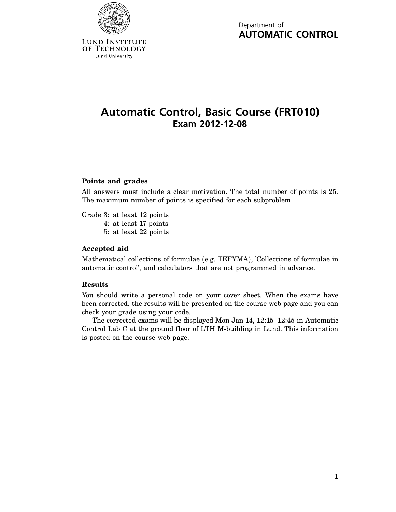

Department of **AUTOMATIC CONTROL**

# **Automatic Control, Basic Course (FRT010) Exam 2012-12-08**

## **Points and grades**

All answers must include a clear motivation. The total number of points is 25. The maximum number of points is specified for each subproblem.

Grade 3: at least 12 points

- 4: at least 17 points
- 5: at least 22 points

### **Accepted aid**

Mathematical collections of formulae (e.g. TEFYMA), 'Collections of formulae in automatic control', and calculators that are not programmed in advance.

### **Results**

You should write a personal code on your cover sheet. When the exams have been corrected, the results will be presented on the course web page and you can check your grade using your code.

The corrected exams will be displayed Mon Jan 14, 12:15–12:45 in Automatic Control Lab C at the ground floor of LTH M-building in Lund. This information is posted on the course web page.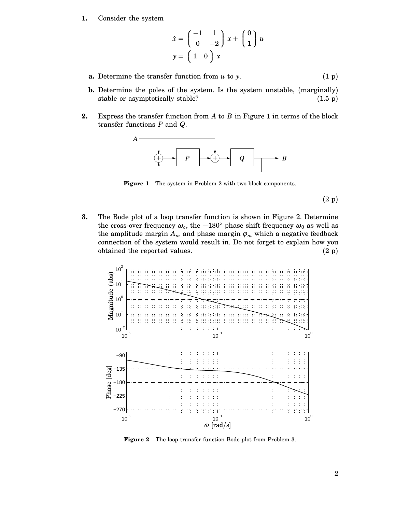**1.** Consider the system

$$
\dot{x} = \begin{pmatrix} -1 & 1 \\ 0 & -2 \end{pmatrix} x + \begin{pmatrix} 0 \\ 1 \end{pmatrix} u
$$

$$
y = \begin{pmatrix} 1 & 0 \end{pmatrix} x
$$

- **a.** Determine the transfer function from  $u$  to  $y$ . (1 p)
- **b.** Determine the poles of the system. Is the system unstable, (marginally) stable or asymptotically stable? (1.5 p)
- **2.** Express the transfer function from *A* to *B* in Figure 1 in terms of the block transfer functions *P* and *Q*.



Figure 1 The system in Problem 2 with two block components.

(2 p)

**3.** The Bode plot of a loop transfer function is shown in Figure 2. Determine the cross-over frequency  $\omega_c$ , the −180° phase shift frequency  $\omega_0$  as well as the amplitude margin  $A_m$  and phase margin  $\varphi_m$  which a negative feedback connection of the system would result in. Do not forget to explain how you obtained the reported values.  $(2 p)$ 



**Figure 2** The loop transfer function Bode plot from Problem 3.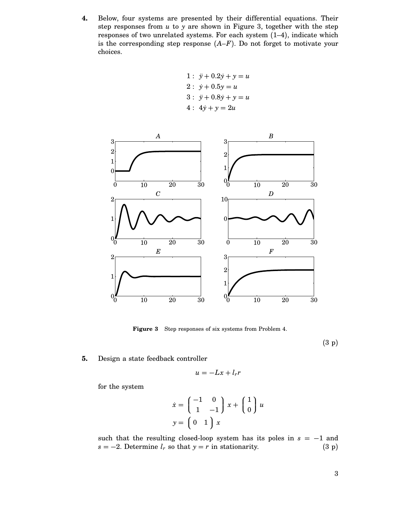**4.** Below, four systems are presented by their differential equations. Their step responses from *u* to *y* are shown in Figure 3, together with the step responses of two unrelated systems. For each system (1–4), indicate which is the corresponding step response  $(A-F)$ . Do not forget to motivate your choices.

1: 
$$
\ddot{y} + 0.2\dot{y} + y = u
$$
  
\n2:  $\dot{y} + 0.5y = u$   
\n3:  $\ddot{y} + 0.8\dot{y} + y = u$   
\n4:  $4\dot{y} + y = 2u$ 



**Figure 3** Step responses of six systems from Problem 4.

(3 p)

#### **5.** Design a state feedback controller

$$
u = -Lx + l_r r
$$

for the system

$$
\dot{x} = \begin{pmatrix} -1 & 0 \\ 1 & -1 \end{pmatrix} x + \begin{pmatrix} 1 \\ 0 \end{pmatrix} u
$$

$$
y = \begin{pmatrix} 0 & 1 \end{pmatrix} x
$$

such that the resulting closed-loop system has its poles in  $s = -1$  and  $s = -2$ . Determine  $l_r$  so that  $y = r$  in stationarity. (3 p)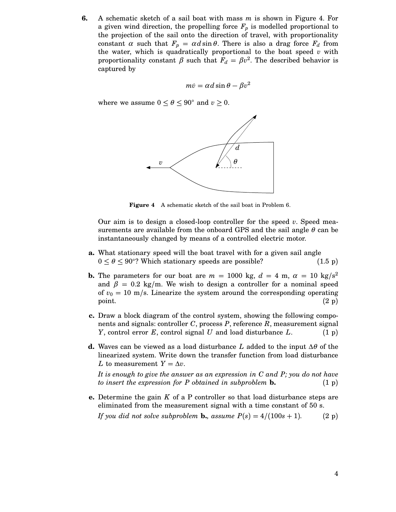**6.** A schematic sketch of a sail boat with mass *m* is shown in Figure 4. For a given wind direction, the propelling force  $F_p$  is modelled proportional to the projection of the sail onto the direction of travel, with proportionality constant  $\alpha$  such that  $F_p = \alpha d \sin \theta$ . There is also a drag force  $F_d$  from the water, which is quadratically proportional to the boat speed *v* with proportionality constant  $\beta$  such that  $F_d = \beta v^2$ . The described behavior is captured by

$$
m\dot{v} = \alpha d \sin \theta - \beta v^2
$$

where we assume  $0 \le \theta \le 90^{\circ}$  and  $v \ge 0$ .



**Figure 4** A schematic sketch of the sail boat in Problem 6.

Our aim is to design a closed-loop controller for the speed *v*. Speed measurements are available from the onboard GPS and the sail angle  $\theta$  can be instantaneously changed by means of a controlled electric motor.

- **a.** What stationary speed will the boat travel with for a given sail angle  $0 \le \theta \le 90^{\circ}$ ? Which stationary speeds are possible? (1.5 p)
- **b.** The parameters for our boat are  $m = 1000$  kg,  $d = 4$  m,  $\alpha = 10$  kg/s<sup>2</sup> and  $\beta = 0.2$  kg/m. We wish to design a controller for a nominal speed of  $v_0 = 10$  m/s. Linearize the system around the corresponding operating point.  $(2\text{ p})$
- **c.** Draw a block diagram of the control system, showing the following components and signals: controller *C*, process *P*, reference *R*, measurement signal *Y*, control error *E*, control signal *U* and load disturbance *L*. (1 p)
- **d.** Waves can be viewed as a load disturbance *L* added to the input ∆<sup>θ</sup> of the linearized system. Write down the transfer function from load disturbance *L* to measurement  $Y = \Delta v$ .

*It is enough to give the answer as an expression in C and P; you do not have to insert the expression for P obtained in subproblem* **b.** (1 p)

**e.** Determine the gain *K* of a P controller so that load disturbance steps are eliminated from the measurement signal with a time constant of 50 s.

*If you did not solve subproblem* **b.***, assume*  $P(s) = 4/(100s + 1)$ . (2 p)